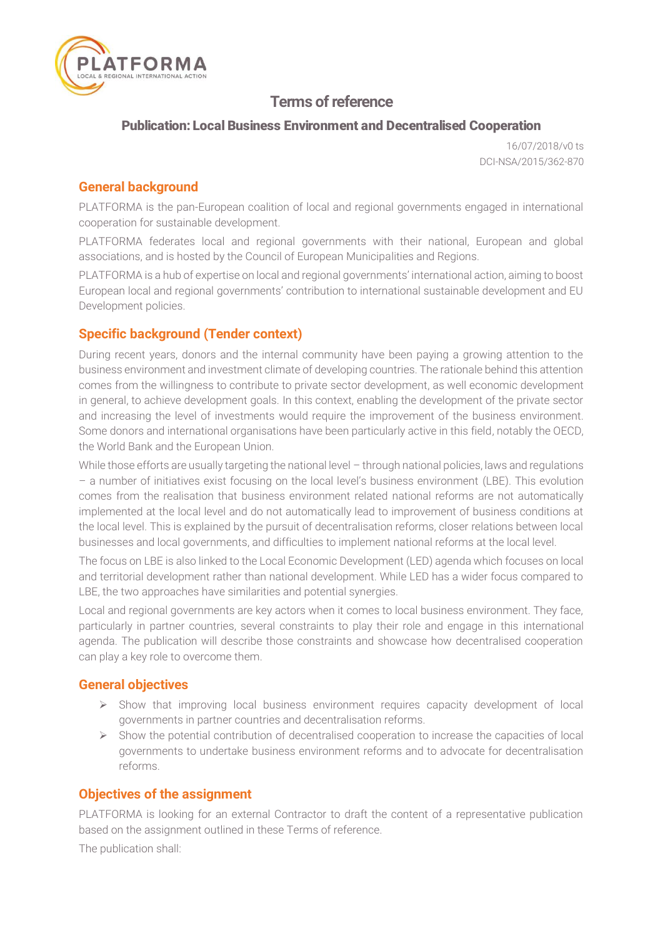

# Terms of reference

## Publication: Local Business Environment and Decentralised Cooperation

16/07/2018/v0 ts DCI-NSA/2015/362-870

## General background

PLATFORMA is the pan-European coalition of local and regional governments engaged in international cooperation for sustainable development.

PLATFORMA federates local and regional governments with their national, European and global associations, and is hosted by the Council of European Municipalities and Regions.

PLATFORMA is a hub of expertise on local and regional governments' international action, aiming to boost European local and regional governments' contribution to international sustainable development and EU Development policies.

## Specific background (Tender context)

During recent years, donors and the internal community have been paying a growing attention to the business environment and investment climate of developing countries. The rationale behind this attention comes from the willingness to contribute to private sector development, as well economic development in general, to achieve development goals. In this context, enabling the development of the private sector and increasing the level of investments would require the improvement of the business environment. Some donors and international organisations have been particularly active in this field, notably the OECD, the World Bank and the European Union.

While those efforts are usually targeting the national level – through national policies, laws and regulations – a number of initiatives exist focusing on the local level's business environment (LBE). This evolution comes from the realisation that business environment related national reforms are not automatically implemented at the local level and do not automatically lead to improvement of business conditions at the local level. This is explained by the pursuit of decentralisation reforms, closer relations between local businesses and local governments, and difficulties to implement national reforms at the local level.

The focus on LBE is also linked to the Local Economic Development (LED) agenda which focuses on local and territorial development rather than national development. While LED has a wider focus compared to LBE, the two approaches have similarities and potential synergies.

Local and regional governments are key actors when it comes to local business environment. They face, particularly in partner countries, several constraints to play their role and engage in this international agenda. The publication will describe those constraints and showcase how decentralised cooperation can play a key role to overcome them.

## General objectives

- $\triangleright$  Show that improving local business environment requires capacity development of local governments in partner countries and decentralisation reforms.
- $\triangleright$  Show the potential contribution of decentralised cooperation to increase the capacities of local governments to undertake business environment reforms and to advocate for decentralisation reforms.

## Objectives of the assignment

PLATFORMA is looking for an external Contractor to draft the content of a representative publication based on the assignment outlined in these Terms of reference.

The publication shall: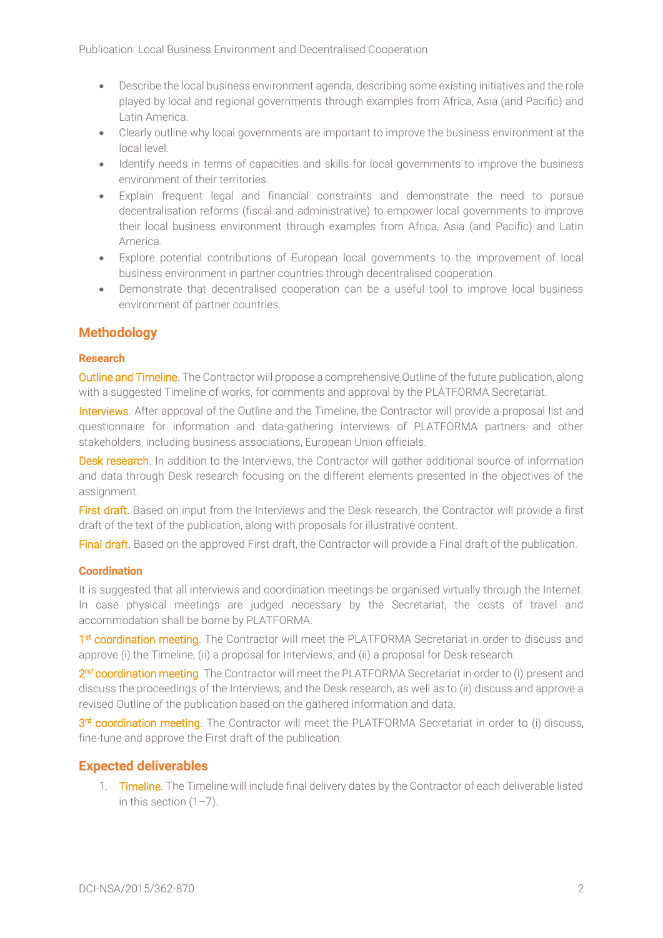- Describe the local business environment agenda, describing some existing initiatives and the role played by local and regional governments through examples from Africa, Asia (and Pacific) and Latin America.
- Clearly outline why local governments are important to improve the business environment at the local level.
- Identify needs in terms of capacities and skills for local governments to improve the business environment of their territories.
- Explain frequent legal and financial constraints and demonstrate the need to pursue decentralisation reforms (fiscal and administrative) to empower local governments to improve their local business environment through examples from Africa, Asia (and Pacific) and Latin America.
- Explore potential contributions of European local governments to the improvement of local business environment in partner countries through decentralised cooperation.
- Demonstrate that decentralised cooperation can be a useful tool to improve local business environment of partner countries.

## Methodology

#### Research

**Outline and Timeline**. The Contractor will propose a comprehensive Outline of the future publication, along with a suggested Timeline of works, for comments and approval by the PLATFORMA Secretariat.

Interviews. After approval of the Outline and the Timeline, the Contractor will provide a proposal list and questionnaire for information and data-gathering interviews of PLATFORMA partners and other stakeholders, including business associations, European Union officials.

Desk research. In addition to the Interviews, the Contractor will gather additional source of information and data through Desk research focusing on the different elements presented in the objectives of the assignment.

First draft. Based on input from the Interviews and the Desk research, the Contractor will provide a first draft of the text of the publication, along with proposals for illustrative content.

Final draft. Based on the approved First draft, the Contractor will provide a Final draft of the publication.

### **Coordination**

It is suggested that all interviews and coordination meetings be organised virtually through the Internet. In case physical meetings are judged necessary by the Secretariat, the costs of travel and accommodation shall be borne by PLATFORMA.

1<sup>st</sup> coordination meeting. The Contractor will meet the PLATFORMA Secretariat in order to discuss and approve (i) the Timeline, (ii) a proposal for Interviews, and (ii) a proposal for Desk research.

2<sup>nd</sup> coordination meeting. The Contractor will meet the PLATFORMA Secretariat in order to (i) present and discuss the proceedings of the Interviews, and the Desk research, as well as to (ii) discuss and approve a revised Outline of the publication based on the gathered information and data.

3<sup>rd</sup> coordination meeting. The Contractor will meet the PLATFORMA Secretariat in order to (i) discuss, fine-tune and approve the First draft of the publication.

## Expected deliverables

1. Timeline. The Timeline will include final delivery dates by the Contractor of each deliverable listed in this section  $(1-7)$ .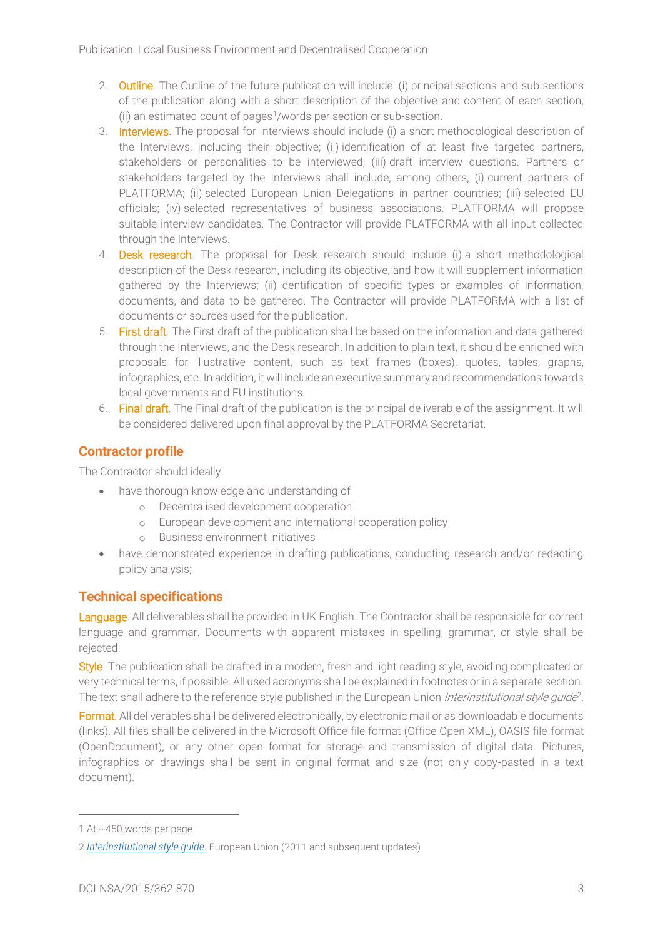- 2. Outline. The Outline of the future publication will include: (i) principal sections and sub-sections of the publication along with a short description of the objective and content of each section, (ii) an estimated count of pages<sup>1</sup>/words per section or sub-section.
- 3. Interviews. The proposal for Interviews should include (i) a short methodological description of the Interviews, including their objective; (ii) identification of at least five targeted partners, stakeholders or personalities to be interviewed, (iii) draft interview questions. Partners or stakeholders targeted by the Interviews shall include, among others, (i) current partners of PLATFORMA; (ii) selected European Union Delegations in partner countries; (iii) selected EU officials; (iv) selected representatives of business associations. PLATFORMA will propose suitable interview candidates. The Contractor will provide PLATFORMA with all input collected through the Interviews.
- 4. **Desk research**. The proposal for Desk research should include (i) a short methodological description of the Desk research, including its objective, and how it will supplement information gathered by the Interviews; (ii) identification of specific types or examples of information, documents, and data to be gathered. The Contractor will provide PLATFORMA with a list of documents or sources used for the publication.
- 5. First draft. The First draft of the publication shall be based on the information and data gathered through the Interviews, and the Desk research. In addition to plain text, it should be enriched with proposals for illustrative content, such as text frames (boxes), quotes, tables, graphs, infographics, etc. In addition, it will include an executive summary and recommendations towards local governments and EU institutions.
- 6. Final draft. The Final draft of the publication is the principal deliverable of the assignment. It will be considered delivered upon final approval by the PLATFORMA Secretariat.

# Contractor profile

The Contractor should ideally

- have thorough knowledge and understanding of
	- o Decentralised development cooperation
	- o European development and international cooperation policy
	- o Business environment initiatives
- have demonstrated experience in drafting publications, conducting research and/or redacting policy analysis;

# Technical specifications

Language. All deliverables shall be provided in UK English. The Contractor shall be responsible for correct language and grammar. Documents with apparent mistakes in spelling, grammar, or style shall be rejected.

Style. The publication shall be drafted in a modern, fresh and light reading style, avoiding complicated or very technical terms, if possible. All used acronyms shall be explained in footnotes or in a separate section. The text shall adhere to the reference style published in the European Union *Interinstitutional style guide*<sup>2</sup>.

Format. All deliverables shall be delivered electronically, by electronic mail or as downloadable documents (links). All files shall be delivered in the Microsoft Office file format (Office Open XML), OASIS file format (OpenDocument), or any other open format for storage and transmission of digital data. Pictures, infographics or drawings shall be sent in original format and size (not only copy-pasted in a text document).

 $\overline{a}$ 

<sup>1</sup> At ~450 words per page.

<sup>2</sup> *[Interinstitutional style guide](http://publications.europa.eu/code/)*. European Union (2011 and subsequent updates)